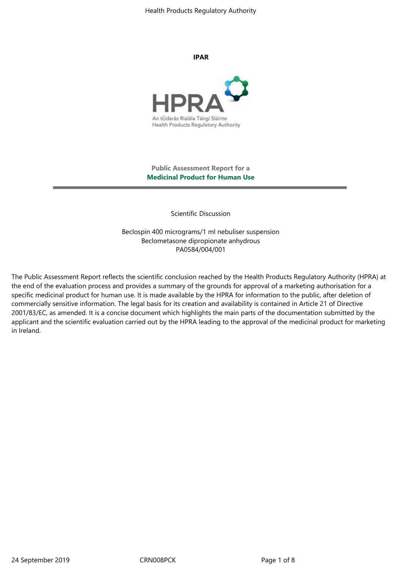Health Products Regulatory Authority

**IPAR**



**Public Assessment Report for a Medicinal Product for Human Use**

Scientific Discussion

Beclospin 400 micrograms/1 ml nebuliser suspension Beclometasone dipropionate anhydrous PA0584/004/001

The Public Assessment Report reflects the scientific conclusion reached by the Health Products Regulatory Authority (HPRA) at the end of the evaluation process and provides a summary of the grounds for approval of a marketing authorisation for a specific medicinal product for human use. It is made available by the HPRA for information to the public, after deletion of commercially sensitive information. The legal basis for its creation and availability is contained in Article 21 of Directive 2001/83/EC, as amended. It is a concise document which highlights the main parts of the documentation submitted by the applicant and the scientific evaluation carried out by the HPRA leading to the approval of the medicinal product for marketing in Ireland.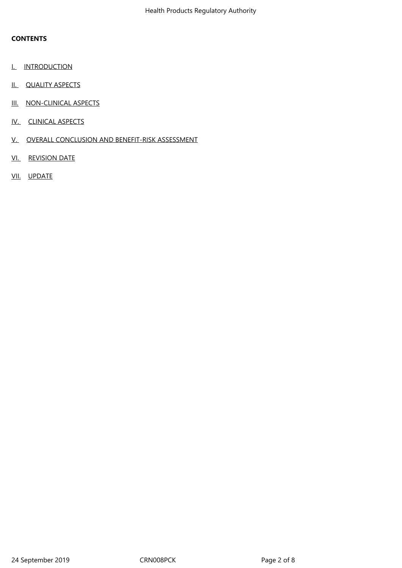# **CONTENTS**

- **I.** INTRODUCTION
- II. QUALITY ASPECTS
- III. NON-CLINICAL ASPECTS
- IV. CLINICAL ASPECTS
- V. OVERALL CONCLUSION AND BENEFIT-RISK ASSESSMENT
- VI. REVISION DATE
- VII. UPDATE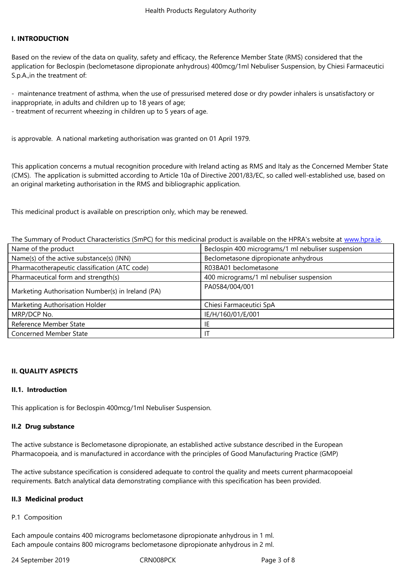## **I. INTRODUCTION**

Based on the review of the data on quality, safety and efficacy, the Reference Member State (RMS) considered that the application for Beclospin (beclometasone dipropionate anhydrous) 400mcg/1ml Nebuliser Suspension, by Chiesi Farmaceutici S.p.A.,in the treatment of:

- maintenance treatment of asthma, when the use of pressurised metered dose or dry powder inhalers is unsatisfactory or inappropriate, in adults and children up to 18 years of age;

- treatment of recurrent wheezing in children up to 5 years of age.

is approvable. A national marketing authorisation was granted on 01 April 1979.

This application concerns a mutual recognition procedure with Ireland acting as RMS and Italy as the Concerned Member State (CMS). The application is submitted according to Article 10a of Directive 2001/83/EC, so called well-established use, based on an original marketing authorisation in the RMS and bibliographic application.

This medicinal product is available on prescription only, which may be renewed.

The Summary of Product Characteristics (SmPC) for this medicinal product is available on the HPRA's website at www.hpra.ie.

| Name of the product                               | Beclospin 400 micrograms/1 ml nebuliser suspension |
|---------------------------------------------------|----------------------------------------------------|
| Name(s) of the active substance(s) (INN)          | Beclometasone dipropionate anhydrous               |
| Pharmacotherapeutic classification (ATC code)     | R03BA01 beclometasone                              |
| Pharmaceutical form and strength(s)               | 400 micrograms/1 ml nebuliser suspension           |
| Marketing Authorisation Number(s) in Ireland (PA) | PA0584/004/001                                     |
| Marketing Authorisation Holder                    | Chiesi Farmaceutici SpA                            |
| MRP/DCP No.                                       | IE/H/160/01/E/001                                  |
| Reference Member State                            | IE                                                 |
| <b>Concerned Member State</b>                     | ΙT                                                 |

## **II. QUALITY ASPECTS**

## **II.1. Introduction**

This application is for Beclospin 400mcg/1ml Nebuliser Suspension.

## **II.2 Drug substance**

The active substance is Beclometasone dipropionate, an established active substance described in the European Pharmacopoeia, and is manufactured in accordance with the principles of Good Manufacturing Practice (GMP)

The active substance specification is considered adequate to control the quality and meets current pharmacopoeial requirements. Batch analytical data demonstrating compliance with this specification has been provided.

## **II.3 Medicinal product**

P.1 Composition

Each ampoule contains 400 micrograms beclometasone dipropionate anhydrous in 1 ml. Each ampoule contains 800 micrograms beclometasone dipropionate anhydrous in 2 ml.

24 September 2019 CRN008PCK Page 3 of 8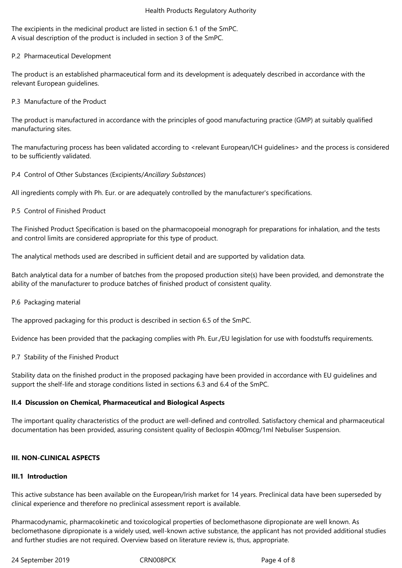The excipients in the medicinal product are listed in section 6.1 of the SmPC. A visual description of the product is included in section 3 of the SmPC.

P.2 Pharmaceutical Development

The product is an established pharmaceutical form and its development is adequately described in accordance with the relevant European guidelines.

P.3 Manufacture of the Product

The product is manufactured in accordance with the principles of good manufacturing practice (GMP) at suitably qualified manufacturing sites.

The manufacturing process has been validated according to <relevant European/ICH guidelines> and the process is considered to be sufficiently validated.

P.4 Control of Other Substances (Excipients/*Ancillary Substances*)

All ingredients comply with Ph. Eur. or are adequately controlled by the manufacturer's specifications.

P.5 Control of Finished Product

The Finished Product Specification is based on the pharmacopoeial monograph for preparations for inhalation, and the tests and control limits are considered appropriate for this type of product.

The analytical methods used are described in sufficient detail and are supported by validation data.

Batch analytical data for a number of batches from the proposed production site(s) have been provided, and demonstrate the ability of the manufacturer to produce batches of finished product of consistent quality.

P.6 Packaging material

The approved packaging for this product is described in section 6.5 of the SmPC.

Evidence has been provided that the packaging complies with Ph. Eur./EU legislation for use with foodstuffs requirements.

P.7 Stability of the Finished Product

Stability data on the finished product in the proposed packaging have been provided in accordance with EU guidelines and support the shelf-life and storage conditions listed in sections 6.3 and 6.4 of the SmPC.

# **II.4 Discussion on Chemical, Pharmaceutical and Biological Aspects**

The important quality characteristics of the product are well-defined and controlled. Satisfactory chemical and pharmaceutical documentation has been provided, assuring consistent quality of Beclospin 400mcg/1ml Nebuliser Suspension.

# **III. NON-CLINICAL ASPECTS**

## **III.1 Introduction**

This active substance has been available on the European/Irish market for 14 years. Preclinical data have been superseded by clinical experience and therefore no preclinical assessment report is available.

Pharmacodynamic, pharmacokinetic and toxicological properties of beclomethasone dipropionate are well known. As beclomethasone dipropionate is a widely used, well-known active substance, the applicant has not provided additional studies and further studies are not required. Overview based on literature review is, thus, appropriate.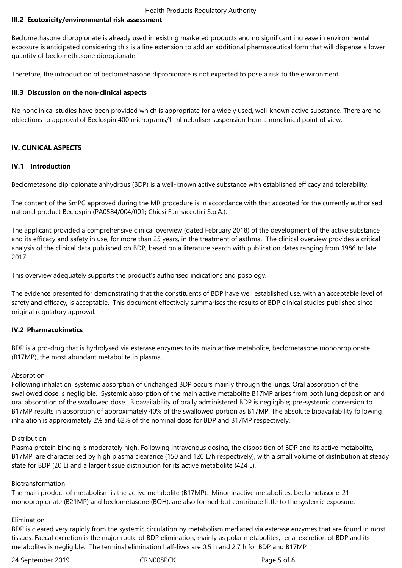## **III.2 Ecotoxicity/environmental risk assessment**

Beclomethasone dipropionate is already used in existing marketed products and no significant increase in environmental exposure is anticipated considering this is a line extension to add an additional pharmaceutical form that will dispense a lower quantity of beclomethasone dipropionate.

Therefore, the introduction of beclomethasone dipropionate is not expected to pose a risk to the environment.

## **III.3 Discussion on the non-clinical aspects**

No nonclinical studies have been provided which is appropriate for a widely used, well-known active substance. There are no objections to approval of Beclospin 400 micrograms/1 ml nebuliser suspension from a nonclinical point of view.

## **IV. CLINICAL ASPECTS**

## **IV.1 Introduction**

Beclometasone dipropionate anhydrous (BDP) is a well-known active substance with established efficacy and tolerability.

The content of the SmPC approved during the MR procedure is in accordance with that accepted for the currently authorised national product Beclospin (PA0584/004/001**;** Chiesi Farmaceutici S.p.A.).

The applicant provided a comprehensive clinical overview (dated February 2018) of the development of the active substance and its efficacy and safety in use, for more than 25 years, in the treatment of asthma. The clinical overview provides a critical analysis of the clinical data published on BDP, based on a literature search with publication dates ranging from 1986 to late 2017.

This overview adequately supports the product's authorised indications and posology.

The evidence presented for demonstrating that the constituents of BDP have well established use, with an acceptable level of safety and efficacy, is acceptable. This document effectively summarises the results of BDP clinical studies published since original regulatory approval.

## **IV.2 Pharmacokinetics**

BDP is a pro-drug that is hydrolysed via esterase enzymes to its main active metabolite, beclometasone monopropionate (B17MP), the most abundant metabolite in plasma.

## Absorption

Following inhalation, systemic absorption of unchanged BDP occurs mainly through the lungs. Oral absorption of the swallowed dose is negligible. Systemic absorption of the main active metabolite B17MP arises from both lung deposition and oral absorption of the swallowed dose. Bioavailability of orally administered BDP is negligible; pre-systemic conversion to B17MP results in absorption of approximately 40% of the swallowed portion as B17MP. The absolute bioavailability following inhalation is approximately 2% and 62% of the nominal dose for BDP and B17MP respectively.

#### Distribution

Plasma protein binding is moderately high. Following intravenous dosing, the disposition of BDP and its active metabolite, B17MP, are characterised by high plasma clearance (150 and 120 L/h respectively), with a small volume of distribution at steady state for BDP (20 L) and a larger tissue distribution for its active metabolite (424 L).

## Biotransformation

The main product of metabolism is the active metabolite (B17MP). Minor inactive metabolites, beclometasone-21 monopropionate (B21MP) and beclometasone (BOH), are also formed but contribute little to the systemic exposure.

#### Elimination

BDP is cleared very rapidly from the systemic circulation by metabolism mediated via esterase enzymes that are found in most tissues. Faecal excretion is the major route of BDP elimination, mainly as polar metabolites; renal excretion of BDP and its metabolites is negligible. The terminal elimination half-lives are 0.5 h and 2.7 h for BDP and B17MP

24 September 2019 CRN008PCK Page 5 of 8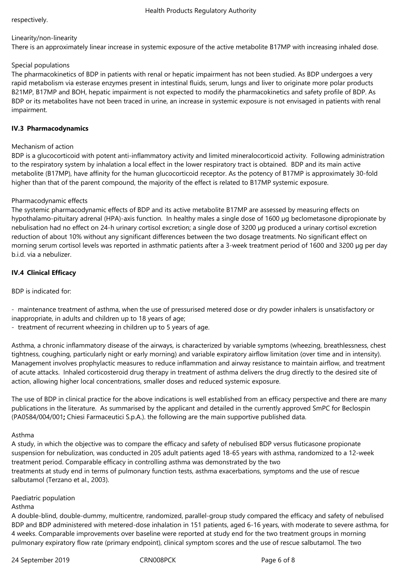## respectively.

#### Linearity/non-linearity

There is an approximately linear increase in systemic exposure of the active metabolite B17MP with increasing inhaled dose.

## Special populations

The pharmacokinetics of BDP in patients with renal or hepatic impairment has not been studied. As BDP undergoes a very rapid metabolism via esterase enzymes present in intestinal fluids, serum, lungs and liver to originate more polar products B21MP, B17MP and BOH, hepatic impairment is not expected to modify the pharmacokinetics and safety profile of BDP. As BDP or its metabolites have not been traced in urine, an increase in systemic exposure is not envisaged in patients with renal impairment.

## **IV.3 Pharmacodynamics**

## Mechanism of action

BDP is a glucocorticoid with potent anti-inflammatory activity and limited mineralocorticoid activity. Following administration to the respiratory system by inhalation a local effect in the lower respiratory tract is obtained. BDP and its main active metabolite (B17MP), have affinity for the human glucocorticoid receptor. As the potency of B17MP is approximately 30-fold higher than that of the parent compound, the majority of the effect is related to B17MP systemic exposure.

## Pharmacodynamic effects

The systemic pharmacodynamic effects of BDP and its active metabolite B17MP are assessed by measuring effects on hypothalamo-pituitary adrenal (HPA)-axis function. In healthy males a single dose of 1600 µg beclometasone dipropionate by nebulisation had no effect on 24-h urinary cortisol excretion; a single dose of 3200 µg produced a urinary cortisol excretion reduction of about 10% without any significant differences between the two dosage treatments. No significant effect on morning serum cortisol levels was reported in asthmatic patients after a 3-week treatment period of 1600 and 3200 µg per day b.i.d. via a nebulizer.

# **IV.4 Clinical Efficacy**

## BDP is indicated for:

- maintenance treatment of asthma, when the use of pressurised metered dose or dry powder inhalers is unsatisfactory or inappropriate, in adults and children up to 18 years of age;

- treatment of recurrent wheezing in children up to 5 years of age.

Asthma, a chronic inflammatory disease of the airways, is characterized by variable symptoms (wheezing, breathlessness, chest tightness, coughing, particularly night or early morning) and variable expiratory airflow limitation (over time and in intensity). Management involves prophylactic measures to reduce inflammation and airway resistance to maintain airflow, and treatment of acute attacks. Inhaled corticosteroid drug therapy in treatment of asthma delivers the drug directly to the desired site of action, allowing higher local concentrations, smaller doses and reduced systemic exposure.

The use of BDP in clinical practice for the above indications is well established from an efficacy perspective and there are many publications in the literature. As summarised by the applicant and detailed in the currently approved SmPC for Beclospin (PA0584/004/001**;** Chiesi Farmaceutici S.p.A.). the following are the main supportive published data.

## Asthma

A study, in which the objective was to compare the efficacy and safety of nebulised BDP versus fluticasone propionate suspension for nebulization, was conducted in 205 adult patients aged 18-65 years with asthma, randomized to a 12-week treatment period. Comparable efficacy in controlling asthma was demonstrated by the two treatments at study end in terms of pulmonary function tests, asthma exacerbations, symptoms and the use of rescue salbutamol (Terzano et al., 2003).

# Paediatric population

#### Asthma

A double-blind, double-dummy, multicentre, randomized, parallel-group study compared the efficacy and safety of nebulised BDP and BDP administered with metered-dose inhalation in 151 patients, aged 6-16 years, with moderate to severe asthma, for 4 weeks. Comparable improvements over baseline were reported at study end for the two treatment groups in morning pulmonary expiratory flow rate (primary endpoint), clinical symptom scores and the use of rescue salbutamol. The two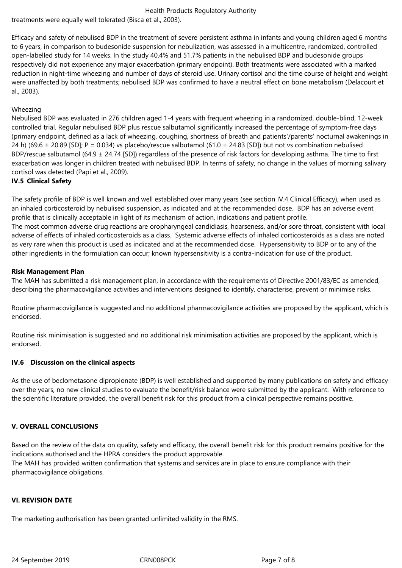# Health Products Regulatory Authority

treatments were equally well tolerated (Bisca et al., 2003).

Efficacy and safety of nebulised BDP in the treatment of severe persistent asthma in infants and young children aged 6 months to 6 years, in comparison to budesonide suspension for nebulization, was assessed in a multicentre, randomized, controlled open-labelled study for 14 weeks. In the study 40.4% and 51.7% patients in the nebulised BDP and budesonide groups respectively did not experience any major exacerbation (primary endpoint). Both treatments were associated with a marked reduction in night-time wheezing and number of days of steroid use. Urinary cortisol and the time course of height and weight were unaffected by both treatments; nebulised BDP was confirmed to have a neutral effect on bone metabolism (Delacourt et al., 2003).

## Wheezing

Nebulised BDP was evaluated in 276 children aged 1-4 years with frequent wheezing in a randomized, double-blind, 12-week controlled trial. Regular nebulised BDP plus rescue salbutamol significantly increased the percentage of symptom-free days (primary endpoint, defined as a lack of wheezing, coughing, shortness of breath and patients'/parents' nocturnal awakenings in 24 h) (69.6  $\pm$  20.89 [SD]; P = 0.034) vs placebo/rescue salbutamol (61.0  $\pm$  24.83 [SD]) but not vs combination nebulised BDP/rescue salbutamol (64.9  $\pm$  24.74 [SD]) regardless of the presence of risk factors for developing asthma. The time to first exacerbation was longer in children treated with nebulised BDP. In terms of safety, no change in the values of morning salivary cortisol was detected (Papi et al., 2009).

## **IV.5 Clinical Safety**

The safety profile of BDP is well known and well established over many years (see section IV.4 Clinical Efficacy), when used as an inhaled corticosteroid by nebulised suspension, as indicated and at the recommended dose. BDP has an adverse event profile that is clinically acceptable in light of its mechanism of action, indications and patient profile. The most common adverse drug reactions are oropharyngeal candidiasis, hoarseness, and/or sore throat, consistent with local adverse of effects of inhaled corticosteroids as a class. Systemic adverse effects of inhaled corticosteroids as a class are noted as very rare when this product is used as indicated and at the recommended dose. Hypersensitivity to BDP or to any of the other ingredients in the formulation can occur; known hypersensitivity is a contra-indication for use of the product.

## **Risk Management Plan**

The MAH has submitted a risk management plan, in accordance with the requirements of Directive 2001/83/EC as amended, describing the pharmacovigilance activities and interventions designed to identify, characterise, prevent or minimise risks.

Routine pharmacovigilance is suggested and no additional pharmacovigilance activities are proposed by the applicant, which is endorsed.

Routine risk minimisation is suggested and no additional risk minimisation activities are proposed by the applicant, which is endorsed.

## **IV.6 Discussion on the clinical aspects**

As the use of beclometasone dipropionate (BDP) is well established and supported by many publications on safety and efficacy over the years, no new clinical studies to evaluate the benefit/risk balance were submitted by the applicant. With reference to the scientific literature provided, the overall benefit risk for this product from a clinical perspective remains positive.

# **V. OVERALL CONCLUSIONS**

Based on the review of the data on quality, safety and efficacy, the overall benefit risk for this product remains positive for the indications authorised and the HPRA considers the product approvable.

The MAH has provided written confirmation that systems and services are in place to ensure compliance with their pharmacovigilance obligations.

## **VI. REVISION DATE**

The marketing authorisation has been granted unlimited validity in the RMS.